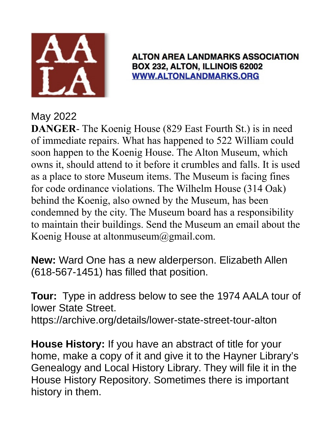

## **ALTON AREA LANDMARKS ASSOCIATION** BOX 232, ALTON, ILLINOIS 62002 **WWW.ALTONLANDMARKS.ORG**

## May 2022

**DANGER**- The Koenig House (829 East Fourth St.) is in need of immediate repairs. What has happened to 522 William could soon happen to the Koenig House. The Alton Museum, which owns it, should attend to it before it crumbles and falls. It is used as a place to store Museum items. The Museum is facing fines for code ordinance violations. The Wilhelm House (314 Oak) behind the Koenig, also owned by the Museum, has been condemned by the city. The Museum board has a responsibility to maintain their buildings. Send the Museum an email about the Koenig House at altonmuseum@gmail.com.

**New:** Ward One has a new alderperson. Elizabeth Allen (618-567-1451) has filled that position.

**Tour:** Type in address below to see the 1974 AALA tour of lower State Street.

https://archive.org/details/lower-state-street-tour-alton

**House History:** If you have an abstract of title for your home, make a copy of it and give it to the Hayner Library's Genealogy and Local History Library. They will file it in the House History Repository. Sometimes there is important history in them.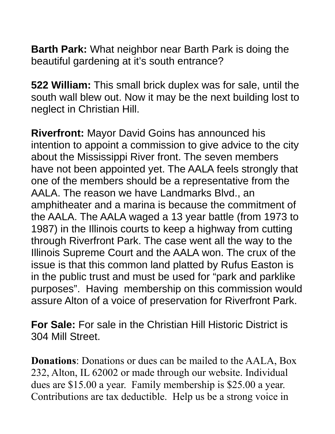**Barth Park:** What neighbor near Barth Park is doing the beautiful gardening at it's south entrance?

**522 William:** This small brick duplex was for sale, until the south wall blew out. Now it may be the next building lost to neglect in Christian Hill.

**Riverfront:** Mayor David Goins has announced his intention to appoint a commission to give advice to the city about the Mississippi River front. The seven members have not been appointed yet. The AALA feels strongly that one of the members should be a representative from the AALA. The reason we have Landmarks Blvd., an amphitheater and a marina is because the commitment of the AALA. The AALA waged a 13 year battle (from 1973 to 1987) in the Illinois courts to keep a highway from cutting through Riverfront Park. The case went all the way to the Illinois Supreme Court and the AALA won. The crux of the issue is that this common land platted by Rufus Easton is in the public trust and must be used for "park and parklike purposes". Having membership on this commission would assure Alton of a voice of preservation for Riverfront Park.

**For Sale:** For sale in the Christian Hill Historic District is 304 Mill Street.

**Donations**: Donations or dues can be mailed to the AALA, Box 232, Alton, IL 62002 or made through our website. Individual dues are \$15.00 a year. Family membership is \$25.00 a year. Contributions are tax deductible. Help us be a strong voice in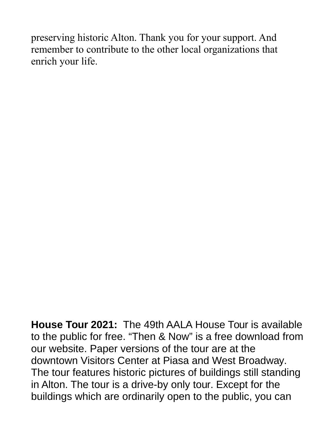preserving historic Alton. Thank you for your support. And remember to contribute to the other local organizations that enrich your life.

**House Tour 2021:** The 49th AALA House Tour is available to the public for free. "Then & Now" is a free download from our website. Paper versions of the tour are at the downtown Visitors Center at Piasa and West Broadway. The tour features historic pictures of buildings still standing in Alton. The tour is a drive-by only tour. Except for the buildings which are ordinarily open to the public, you can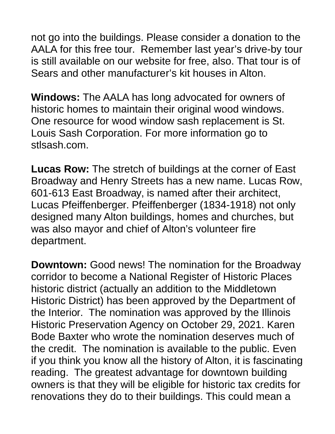not go into the buildings. Please consider a donation to the AALA for this free tour. Remember last year's drive-by tour is still available on our website for free, also. That tour is of Sears and other manufacturer's kit houses in Alton.

**Windows:** The AALA has long advocated for owners of historic homes to maintain their original wood windows. One resource for wood window sash replacement is St. Louis Sash Corporation. For more information go to stlsash.com.

**Lucas Row:** The stretch of buildings at the corner of East Broadway and Henry Streets has a new name. Lucas Row, 601-613 East Broadway, is named after their architect, Lucas Pfeiffenberger. Pfeiffenberger (1834-1918) not only designed many Alton buildings, homes and churches, but was also mayor and chief of Alton's volunteer fire department.

**Downtown:** Good news! The nomination for the Broadway corridor to become a National Register of Historic Places historic district (actually an addition to the Middletown Historic District) has been approved by the Department of the Interior. The nomination was approved by the Illinois Historic Preservation Agency on October 29, 2021. Karen Bode Baxter who wrote the nomination deserves much of the credit. The nomination is available to the public. Even if you think you know all the history of Alton, it is fascinating reading. The greatest advantage for downtown building owners is that they will be eligible for historic tax credits for renovations they do to their buildings. This could mean a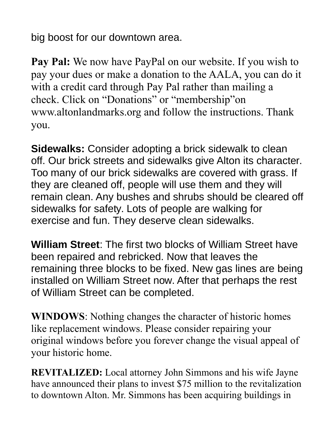big boost for our downtown area.

**Pay Pal:** We now have PayPal on our website. If you wish to pay your dues or make a donation to the AALA, you can do it with a credit card through Pay Pal rather than mailing a check. Click on "Donations" or "membership"on www.altonlandmarks.org and follow the instructions. Thank you.

**Sidewalks:** Consider adopting a brick sidewalk to clean off. Our brick streets and sidewalks give Alton its character. Too many of our brick sidewalks are covered with grass. If they are cleaned off, people will use them and they will remain clean. Any bushes and shrubs should be cleared off sidewalks for safety. Lots of people are walking for exercise and fun. They deserve clean sidewalks.

**William Street**: The first two blocks of William Street have been repaired and rebricked. Now that leaves the remaining three blocks to be fixed. New gas lines are being installed on William Street now. After that perhaps the rest of William Street can be completed.

**WINDOWS**: Nothing changes the character of historic homes like replacement windows. Please consider repairing your original windows before you forever change the visual appeal of your historic home.

**REVITALIZED:** Local attorney John Simmons and his wife Jayne have announced their plans to invest \$75 million to the revitalization to downtown Alton. Mr. Simmons has been acquiring buildings in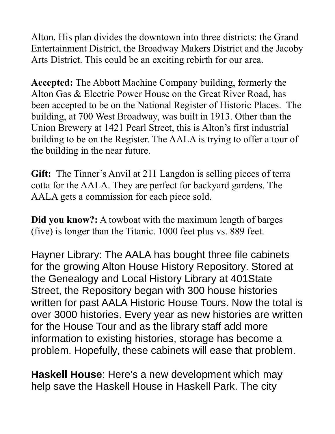Alton. His plan divides the downtown into three districts: the Grand Entertainment District, the Broadway Makers District and the Jacoby Arts District. This could be an exciting rebirth for our area.

**Accepted:** The Abbott Machine Company building, formerly the Alton Gas & Electric Power House on the Great River Road, has been accepted to be on the National Register of Historic Places. The building, at 700 West Broadway, was built in 1913. Other than the Union Brewery at 1421 Pearl Street, this is Alton's first industrial building to be on the Register. The AALA is trying to offer a tour of the building in the near future.

**Gift:** The Tinner's Anvil at 211 Langdon is selling pieces of terra cotta for the AALA. They are perfect for backyard gardens. The AALA gets a commission for each piece sold.

**Did you know?:** A towboat with the maximum length of barges (five) is longer than the Titanic. 1000 feet plus vs. 889 feet.

Hayner Library: The AALA has bought three file cabinets for the growing Alton House History Repository. Stored at the Genealogy and Local History Library at 401State Street, the Repository began with 300 house histories written for past AALA Historic House Tours. Now the total is over 3000 histories. Every year as new histories are written for the House Tour and as the library staff add more information to existing histories, storage has become a problem. Hopefully, these cabinets will ease that problem.

**Haskell House**: Here's a new development which may help save the Haskell House in Haskell Park. The city